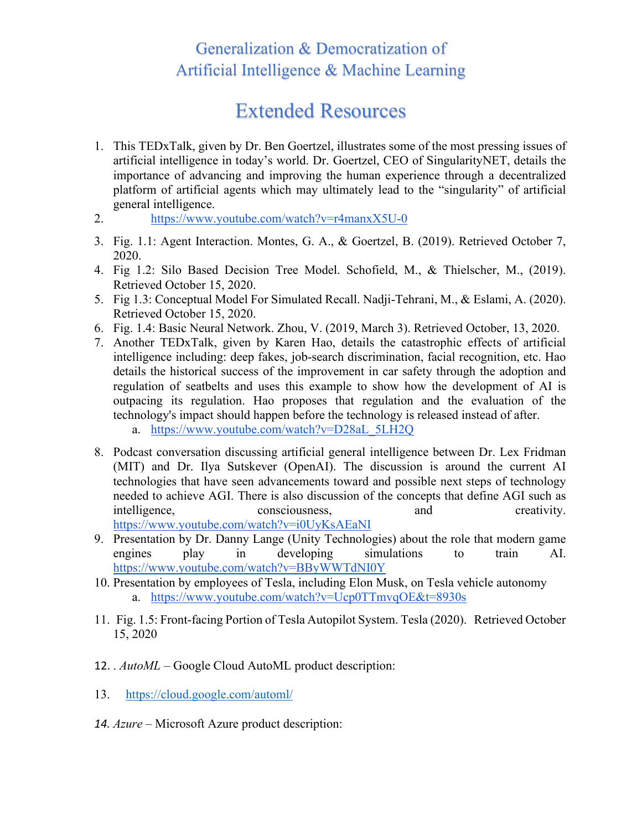## Generalization & Democratization of Artificial Intelligence & Machine Learning

## Extended Resources

- 1. This TEDxTalk, given by Dr. Ben Goertzel, illustrates some of the most pressing issues of artificial intelligence in today's world. Dr. Goertzel, CEO of SingularityNET, details the importance of advancing and improving the human experience through a decentralized platform of artificial agents which may ultimately lead to the "singularity" of artificial general intelligence.
- 2. <https://www.youtube.com/watch?v=r4manxX5U-0>
- 3. Fig. 1.1: Agent Interaction. Montes, G. A., & Goertzel, B. (2019). Retrieved October 7, 2020.
- 4. Fig 1.2: Silo Based Decision Tree Model. Schofield, M., & Thielscher, M., (2019). Retrieved October 15, 2020.
- 5. Fig 1.3: Conceptual Model For Simulated Recall. Nadji-Tehrani, M., & Eslami, A. (2020). Retrieved October 15, 2020.
- 6. Fig. 1.4: Basic Neural Network. Zhou, V. (2019, March 3). Retrieved October, 13, 2020.
- 7. Another TEDxTalk, given by Karen Hao, details the catastrophic effects of artificial intelligence including: deep fakes, job-search discrimination, facial recognition, etc. Hao details the historical success of the improvement in car safety through the adoption and regulation of seatbelts and uses this example to show how the development of AI is outpacing its regulation. Hao proposes that regulation and the evaluation of the technology's impact should happen before the technology is released instead of after.
	- a. [https://www.youtube.com/watch?v=D28aL\\_5LH2Q](https://www.youtube.com/watch?v=D28aL_5LH2Q)
- 8. Podcast conversation discussing artificial general intelligence between Dr. Lex Fridman (MIT) and Dr. Ilya Sutskever (OpenAI). The discussion is around the current AI technologies that have seen advancements toward and possible next steps of technology needed to achieve AGI. There is also discussion of the concepts that define AGI such as intelligence, consciousness, and creativity. <https://www.youtube.com/watch?v=i0UyKsAEaNI>
- 9. Presentation by Dr. Danny Lange (Unity Technologies) about the role that modern game engines play in developing simulations to train AI. <https://www.youtube.com/watch?v=BByWWTdNI0Y>
- 10. Presentation by employees of Tesla, including Elon Musk, on Tesla vehicle autonomy a. <https://www.youtube.com/watch?v=Ucp0TTmvqOE&t=8930s>
- 11. Fig. 1.5: Front-facing Portion of Tesla Autopilot System. Tesla (2020). Retrieved October 15, 2020
- 12. . *AutoML –* Google Cloud AutoML product description:
- 13. <https://cloud.google.com/automl/>
- *14. Azure –* Microsoft Azure product description: